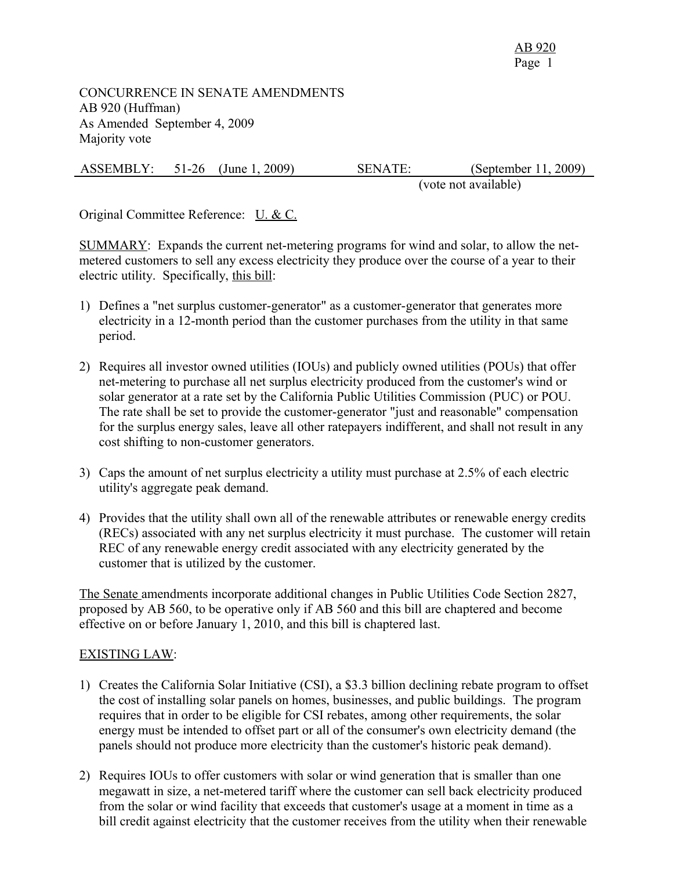CONCURRENCE IN SENATE AMENDMENTS AB 920 (Huffman) As Amended September 4, 2009 Majority vote

| <b>ASSEMBLY:</b><br>(September 11, 2009)<br>(June 1, 2009)<br><b>SENATE:</b><br>$51-26$ |  |
|-----------------------------------------------------------------------------------------|--|
|-----------------------------------------------------------------------------------------|--|

(vote not available)

Original Committee Reference: U. & C.

SUMMARY: Expands the current net-metering programs for wind and solar, to allow the netmetered customers to sell any excess electricity they produce over the course of a year to their electric utility. Specifically, this bill:

- 1) Defines a "net surplus customer-generator" as a customer-generator that generates more electricity in a 12-month period than the customer purchases from the utility in that same period.
- 2) Requires all investor owned utilities (IOUs) and publicly owned utilities (POUs) that offer net-metering to purchase all net surplus electricity produced from the customer's wind or solar generator at a rate set by the California Public Utilities Commission (PUC) or POU. The rate shall be set to provide the customer-generator "just and reasonable" compensation for the surplus energy sales, leave all other ratepayers indifferent, and shall not result in any cost shifting to non-customer generators.
- 3) Caps the amount of net surplus electricity a utility must purchase at 2.5% of each electric utility's aggregate peak demand.
- 4) Provides that the utility shall own all of the renewable attributes or renewable energy credits (RECs) associated with any net surplus electricity it must purchase. The customer will retain REC of any renewable energy credit associated with any electricity generated by the customer that is utilized by the customer.

The Senate amendments incorporate additional changes in Public Utilities Code Section 2827, proposed by AB 560, to be operative only if AB 560 and this bill are chaptered and become effective on or before January 1, 2010, and this bill is chaptered last.

## EXISTING LAW:

- 1) Creates the California Solar Initiative (CSI), a \$3.3 billion declining rebate program to offset the cost of installing solar panels on homes, businesses, and public buildings. The program requires that in order to be eligible for CSI rebates, among other requirements, the solar energy must be intended to offset part or all of the consumer's own electricity demand (the panels should not produce more electricity than the customer's historic peak demand).
- 2) Requires IOUs to offer customers with solar or wind generation that is smaller than one megawatt in size, a net-metered tariff where the customer can sell back electricity produced from the solar or wind facility that exceeds that customer's usage at a moment in time as a bill credit against electricity that the customer receives from the utility when their renewable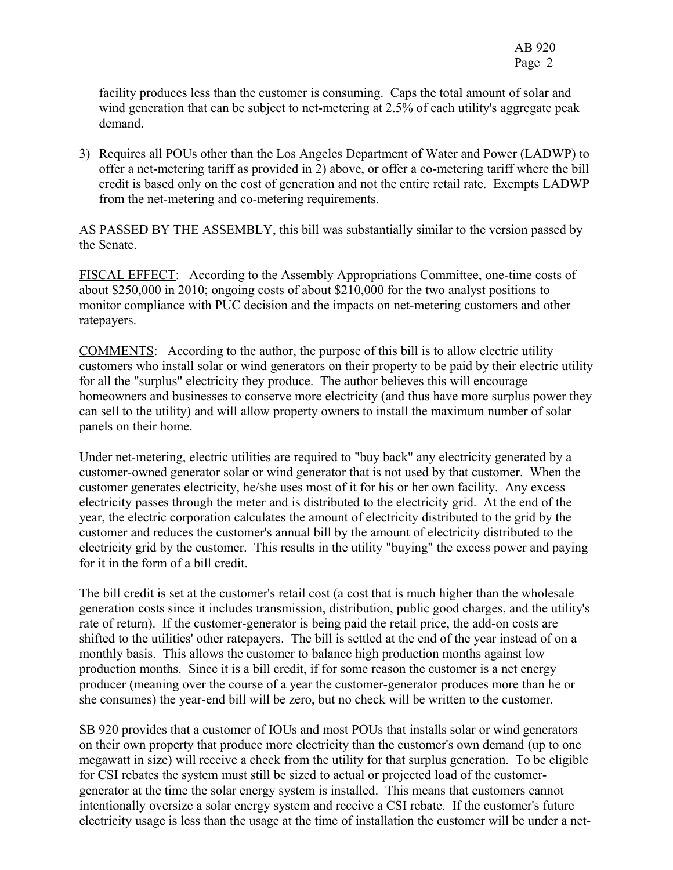facility produces less than the customer is consuming. Caps the total amount of solar and wind generation that can be subject to net-metering at 2.5% of each utility's aggregate peak demand.

3) Requires all POUs other than the Los Angeles Department of Water and Power (LADWP) to offer a net-metering tariff as provided in 2) above, or offer a co-metering tariff where the bill credit is based only on the cost of generation and not the entire retail rate. Exempts LADWP from the net-metering and co-metering requirements.

AS PASSED BY THE ASSEMBLY, this bill was substantially similar to the version passed by the Senate.

FISCAL EFFECT: According to the Assembly Appropriations Committee, one-time costs of about \$250,000 in 2010; ongoing costs of about \$210,000 for the two analyst positions to monitor compliance with PUC decision and the impacts on net-metering customers and other ratepayers.

COMMENTS: According to the author, the purpose of this bill is to allow electric utility customers who install solar or wind generators on their property to be paid by their electric utility for all the "surplus" electricity they produce. The author believes this will encourage homeowners and businesses to conserve more electricity (and thus have more surplus power they can sell to the utility) and will allow property owners to install the maximum number of solar panels on their home.

Under net-metering, electric utilities are required to "buy back" any electricity generated by a customer-owned generator solar or wind generator that is not used by that customer. When the customer generates electricity, he/she uses most of it for his or her own facility. Any excess electricity passes through the meter and is distributed to the electricity grid. At the end of the year, the electric corporation calculates the amount of electricity distributed to the grid by the customer and reduces the customer's annual bill by the amount of electricity distributed to the electricity grid by the customer. This results in the utility "buying" the excess power and paying for it in the form of a bill credit.

The bill credit is set at the customer's retail cost (a cost that is much higher than the wholesale generation costs since it includes transmission, distribution, public good charges, and the utility's rate of return). If the customer-generator is being paid the retail price, the add-on costs are shifted to the utilities' other ratepayers. The bill is settled at the end of the year instead of on a monthly basis. This allows the customer to balance high production months against low production months. Since it is a bill credit, if for some reason the customer is a net energy producer (meaning over the course of a year the customer-generator produces more than he or she consumes) the year-end bill will be zero, but no check will be written to the customer.

SB 920 provides that a customer of IOUs and most POUs that installs solar or wind generators on their own property that produce more electricity than the customer's own demand (up to one megawatt in size) will receive a check from the utility for that surplus generation. To be eligible for CSI rebates the system must still be sized to actual or projected load of the customergenerator at the time the solar energy system is installed. This means that customers cannot intentionally oversize a solar energy system and receive a CSI rebate. If the customer's future electricity usage is less than the usage at the time of installation the customer will be under a net-